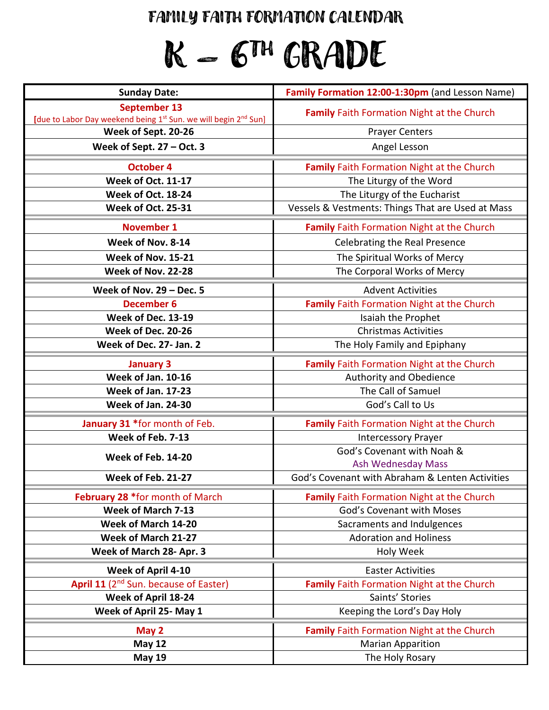### FAMILY FAITH FORMATION CALENDAR

# $K-6^{\text{th}}$  GRADE

| <b>Sunday Date:</b>                                                         | Family Formation 12:00-1:30pm (and Lesson Name)   |  |  |  |  |  |
|-----------------------------------------------------------------------------|---------------------------------------------------|--|--|--|--|--|
| September 13                                                                | <b>Family Faith Formation Night at the Church</b> |  |  |  |  |  |
| [due to Labor Day weekend being 1st Sun. we will begin 2 <sup>nd</sup> Sun] |                                                   |  |  |  |  |  |
| Week of Sept. 20-26                                                         | <b>Prayer Centers</b>                             |  |  |  |  |  |
| Week of Sept. $27 - Oct.$ 3                                                 | Angel Lesson                                      |  |  |  |  |  |
| <b>October 4</b>                                                            | Family Faith Formation Night at the Church        |  |  |  |  |  |
| Week of Oct. 11-17                                                          | The Liturgy of the Word                           |  |  |  |  |  |
| Week of Oct. 18-24                                                          | The Liturgy of the Eucharist                      |  |  |  |  |  |
| Week of Oct. 25-31                                                          | Vessels & Vestments: Things That are Used at Mass |  |  |  |  |  |
| <b>November 1</b>                                                           | Family Faith Formation Night at the Church        |  |  |  |  |  |
| Week of Nov. 8-14                                                           | <b>Celebrating the Real Presence</b>              |  |  |  |  |  |
| Week of Nov. 15-21                                                          | The Spiritual Works of Mercy                      |  |  |  |  |  |
| Week of Nov. 22-28                                                          | The Corporal Works of Mercy                       |  |  |  |  |  |
| Week of Nov. $29 - Dec.5$                                                   | <b>Advent Activities</b>                          |  |  |  |  |  |
| <b>December 6</b>                                                           | Family Faith Formation Night at the Church        |  |  |  |  |  |
| Week of Dec. 13-19                                                          | Isaiah the Prophet                                |  |  |  |  |  |
| Week of Dec. 20-26                                                          | <b>Christmas Activities</b>                       |  |  |  |  |  |
| Week of Dec. 27- Jan. 2                                                     | The Holy Family and Epiphany                      |  |  |  |  |  |
| <b>January 3</b>                                                            | Family Faith Formation Night at the Church        |  |  |  |  |  |
| Week of Jan. 10-16                                                          | Authority and Obedience                           |  |  |  |  |  |
| <b>Week of Jan. 17-23</b>                                                   | The Call of Samuel                                |  |  |  |  |  |
| Week of Jan. 24-30                                                          | God's Call to Us                                  |  |  |  |  |  |
| January 31 *for month of Feb.                                               | Family Faith Formation Night at the Church        |  |  |  |  |  |
| Week of Feb. 7-13                                                           | <b>Intercessory Prayer</b>                        |  |  |  |  |  |
| Week of Feb. 14-20                                                          | God's Covenant with Noah &                        |  |  |  |  |  |
|                                                                             | <b>Ash Wednesday Mass</b>                         |  |  |  |  |  |
| Week of Feb. 21-27                                                          | God's Covenant with Abraham & Lenten Activities   |  |  |  |  |  |
| February 28 *for month of March                                             | <b>Family Faith Formation Night at the Church</b> |  |  |  |  |  |
| Week of March 7-13                                                          | God's Covenant with Moses                         |  |  |  |  |  |
| Week of March 14-20                                                         | Sacraments and Indulgences                        |  |  |  |  |  |
| Week of March 21-27                                                         | <b>Adoration and Holiness</b>                     |  |  |  |  |  |
| Week of March 28- Apr. 3                                                    | <b>Holy Week</b>                                  |  |  |  |  |  |
| Week of April 4-10                                                          | <b>Easter Activities</b>                          |  |  |  |  |  |
| April 11 (2 <sup>nd</sup> Sun. because of Easter)                           | <b>Family Faith Formation Night at the Church</b> |  |  |  |  |  |
| Week of April 18-24                                                         | Saints' Stories                                   |  |  |  |  |  |
| Week of April 25- May 1                                                     | Keeping the Lord's Day Holy                       |  |  |  |  |  |
| May 2                                                                       | <b>Family Faith Formation Night at the Church</b> |  |  |  |  |  |
| <b>May 12</b>                                                               | <b>Marian Apparition</b>                          |  |  |  |  |  |
| <b>May 19</b>                                                               | The Holy Rosary                                   |  |  |  |  |  |